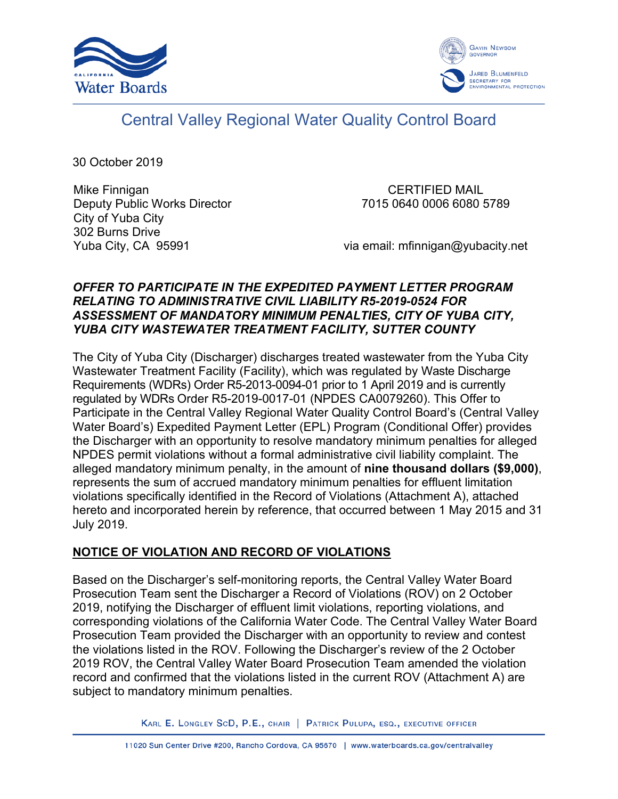



# Central Valley Regional Water Quality Control Board

30 October 2019

Mike Finnigan Deputy Public Works Director City of Yuba City 302 Burns Drive Yuba City, CA 95991

CERTIFIED MAIL 7015 0640 0006 6080 5789

via email: mfinnigan@yubacity.net

## *OFFER TO PARTICIPATE IN THE EXPEDITED PAYMENT LETTER PROGRAM RELATING TO ADMINISTRATIVE CIVIL LIABILITY R5-2019-0524 FOR ASSESSMENT OF MANDATORY MINIMUM PENALTIES, CITY OF YUBA CITY, YUBA CITY WASTEWATER TREATMENT FACILITY, SUTTER COUNTY*

The City of Yuba City (Discharger) discharges treated wastewater from the Yuba City Wastewater Treatment Facility (Facility), which was regulated by Waste Discharge Requirements (WDRs) Order R5-2013-0094-01 prior to 1 April 2019 and is currently regulated by WDRs Order R5-2019-0017-01 (NPDES CA0079260). This Offer to Participate in the Central Valley Regional Water Quality Control Board's (Central Valley Water Board's) Expedited Payment Letter (EPL) Program (Conditional Offer) provides the Discharger with an opportunity to resolve mandatory minimum penalties for alleged NPDES permit violations without a formal administrative civil liability complaint. The alleged mandatory minimum penalty, in the amount of **nine thousand dollars (\$9,000)**, represents the sum of accrued mandatory minimum penalties for effluent limitation violations specifically identified in the Record of Violations (Attachment A), attached hereto and incorporated herein by reference, that occurred between 1 May 2015 and 31 July 2019.

## **NOTICE OF VIOLATION AND RECORD OF VIOLATIONS**

Based on the Discharger's self-monitoring reports, the Central Valley Water Board Prosecution Team sent the Discharger a Record of Violations (ROV) on 2 October 2019, notifying the Discharger of effluent limit violations, reporting violations, and corresponding violations of the California Water Code. The Central Valley Water Board Prosecution Team provided the Discharger with an opportunity to review and contest the violations listed in the ROV. Following the Discharger's review of the 2 October 2019 ROV, the Central Valley Water Board Prosecution Team amended the violation record and confirmed that the violations listed in the current ROV (Attachment A) are subject to mandatory minimum penalties.

KARL E. LONGLEY SCD, P.E., CHAIR | PATRICK PULUPA, ESQ., EXECUTIVE OFFICER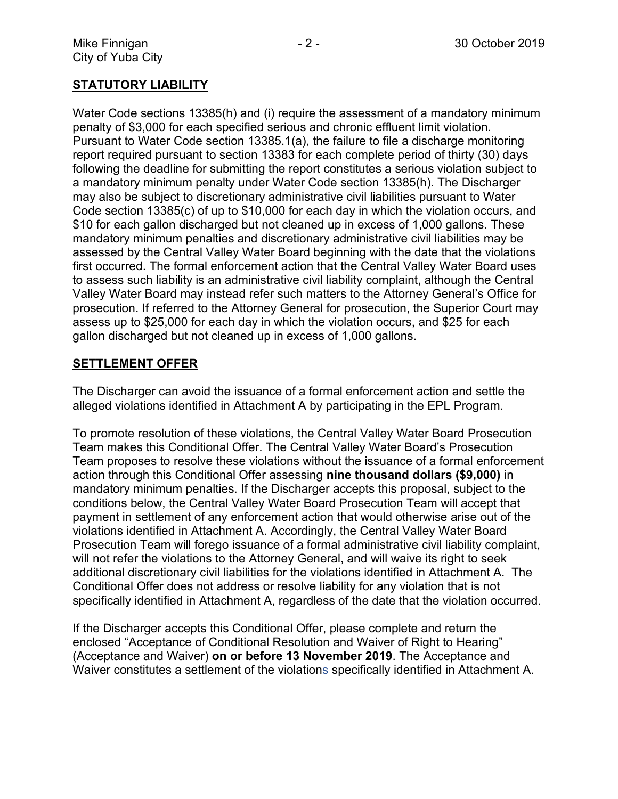## **STATUTORY LIABILITY**

Water Code sections 13385(h) and (i) require the assessment of a mandatory minimum penalty of \$3,000 for each specified serious and chronic effluent limit violation. Pursuant to Water Code section 13385.1(a), the failure to file a discharge monitoring report required pursuant to section 13383 for each complete period of thirty (30) days following the deadline for submitting the report constitutes a serious violation subject to a mandatory minimum penalty under Water Code section 13385(h). The Discharger may also be subject to discretionary administrative civil liabilities pursuant to Water Code section 13385(c) of up to \$10,000 for each day in which the violation occurs, and \$10 for each gallon discharged but not cleaned up in excess of 1,000 gallons. These mandatory minimum penalties and discretionary administrative civil liabilities may be assessed by the Central Valley Water Board beginning with the date that the violations first occurred. The formal enforcement action that the Central Valley Water Board uses to assess such liability is an administrative civil liability complaint, although the Central Valley Water Board may instead refer such matters to the Attorney General's Office for prosecution. If referred to the Attorney General for prosecution, the Superior Court may assess up to \$25,000 for each day in which the violation occurs, and \$25 for each gallon discharged but not cleaned up in excess of 1,000 gallons.

## **SETTLEMENT OFFER**

The Discharger can avoid the issuance of a formal enforcement action and settle the alleged violations identified in Attachment A by participating in the EPL Program.

To promote resolution of these violations, the Central Valley Water Board Prosecution Team makes this Conditional Offer. The Central Valley Water Board's Prosecution Team proposes to resolve these violations without the issuance of a formal enforcement action through this Conditional Offer assessing **nine thousand dollars (\$9,000)** in mandatory minimum penalties. If the Discharger accepts this proposal, subject to the conditions below, the Central Valley Water Board Prosecution Team will accept that payment in settlement of any enforcement action that would otherwise arise out of the violations identified in Attachment A. Accordingly, the Central Valley Water Board Prosecution Team will forego issuance of a formal administrative civil liability complaint, will not refer the violations to the Attorney General, and will waive its right to seek additional discretionary civil liabilities for the violations identified in Attachment A. The Conditional Offer does not address or resolve liability for any violation that is not specifically identified in Attachment A, regardless of the date that the violation occurred.

If the Discharger accepts this Conditional Offer, please complete and return the enclosed "Acceptance of Conditional Resolution and Waiver of Right to Hearing" (Acceptance and Waiver) **on or before 13 November 2019**. The Acceptance and Waiver constitutes a settlement of the violations specifically identified in Attachment A.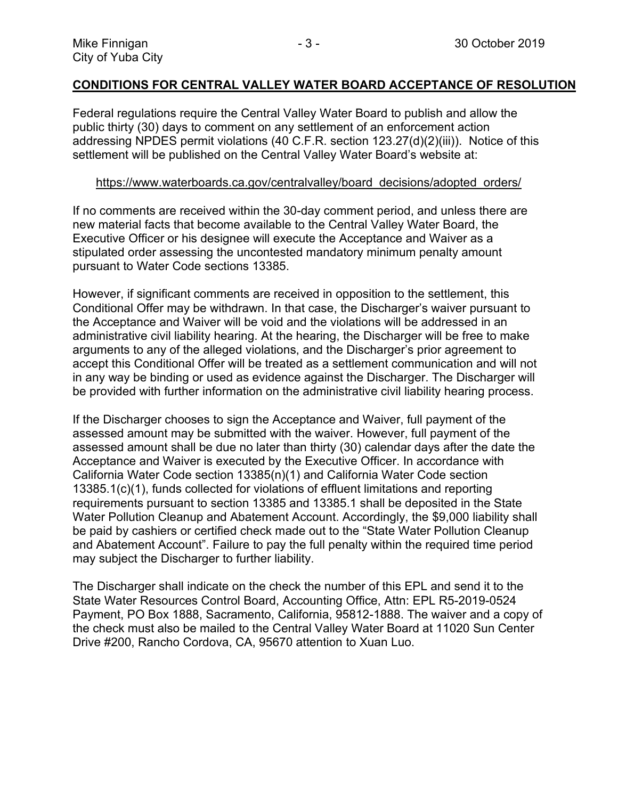#### **CONDITIONS FOR CENTRAL VALLEY WATER BOARD ACCEPTANCE OF RESOLUTION**

Federal regulations require the Central Valley Water Board to publish and allow the public thirty (30) days to comment on any settlement of an enforcement action addressing NPDES permit violations (40 C.F.R. section 123.27(d)(2)(iii)). Notice of this settlement will be published on the Central Valley Water Board's website at:

#### [https://www.waterboards.ca.gov/centralvalley/board\\_decisions/adopted\\_orders/](https://www.waterboards.ca.gov/centralvalley/board_decisions/adopted_orders/)

If no comments are received within the 30-day comment period, and unless there are new material facts that become available to the Central Valley Water Board, the Executive Officer or his designee will execute the Acceptance and Waiver as a stipulated order assessing the uncontested mandatory minimum penalty amount pursuant to Water Code sections 13385.

However, if significant comments are received in opposition to the settlement, this Conditional Offer may be withdrawn. In that case, the Discharger's waiver pursuant to the Acceptance and Waiver will be void and the violations will be addressed in an administrative civil liability hearing. At the hearing, the Discharger will be free to make arguments to any of the alleged violations, and the Discharger's prior agreement to accept this Conditional Offer will be treated as a settlement communication and will not in any way be binding or used as evidence against the Discharger. The Discharger will be provided with further information on the administrative civil liability hearing process.

If the Discharger chooses to sign the Acceptance and Waiver, full payment of the assessed amount may be submitted with the waiver. However, full payment of the assessed amount shall be due no later than thirty (30) calendar days after the date the Acceptance and Waiver is executed by the Executive Officer. In accordance with California Water Code section 13385(n)(1) and California Water Code section 13385.1(c)(1), funds collected for violations of effluent limitations and reporting requirements pursuant to section 13385 and 13385.1 shall be deposited in the State Water Pollution Cleanup and Abatement Account. Accordingly, the \$9,000 liability shall be paid by cashiers or certified check made out to the "State Water Pollution Cleanup and Abatement Account". Failure to pay the full penalty within the required time period may subject the Discharger to further liability.

The Discharger shall indicate on the check the number of this EPL and send it to the State Water Resources Control Board, Accounting Office, Attn: EPL R5-2019-0524 Payment, PO Box 1888, Sacramento, California, 95812-1888. The waiver and a copy of the check must also be mailed to the Central Valley Water Board at 11020 Sun Center Drive #200, Rancho Cordova, CA, 95670 attention to Xuan Luo.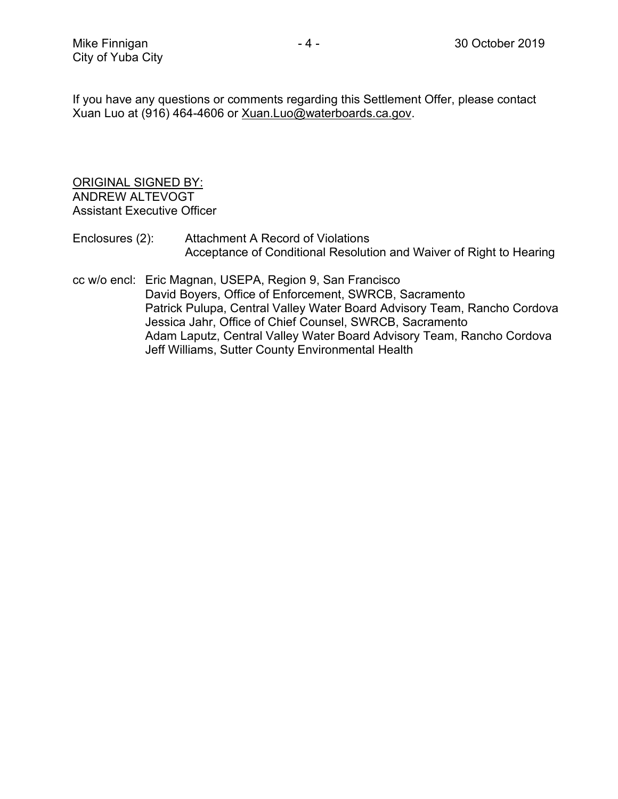If you have any questions or comments regarding this Settlement Offer, please contact Xuan Luo at (916) 464-4606 or [Xuan.Luo@waterboards.ca.gov.](mailto:Xuan.Luo@waterboards.ca.gov)

#### ORIGINAL SIGNED BY: ANDREW ALTEVOGT Assistant Executive Officer

- Enclosures (2): Attachment A Record of Violations Acceptance of Conditional Resolution and Waiver of Right to Hearing
- cc w/o encl: Eric Magnan, USEPA, Region 9, San Francisco David Boyers, Office of Enforcement, SWRCB, Sacramento Patrick Pulupa, Central Valley Water Board Advisory Team, Rancho Cordova Jessica Jahr, Office of Chief Counsel, SWRCB, Sacramento Adam Laputz, Central Valley Water Board Advisory Team, Rancho Cordova Jeff Williams, Sutter County Environmental Health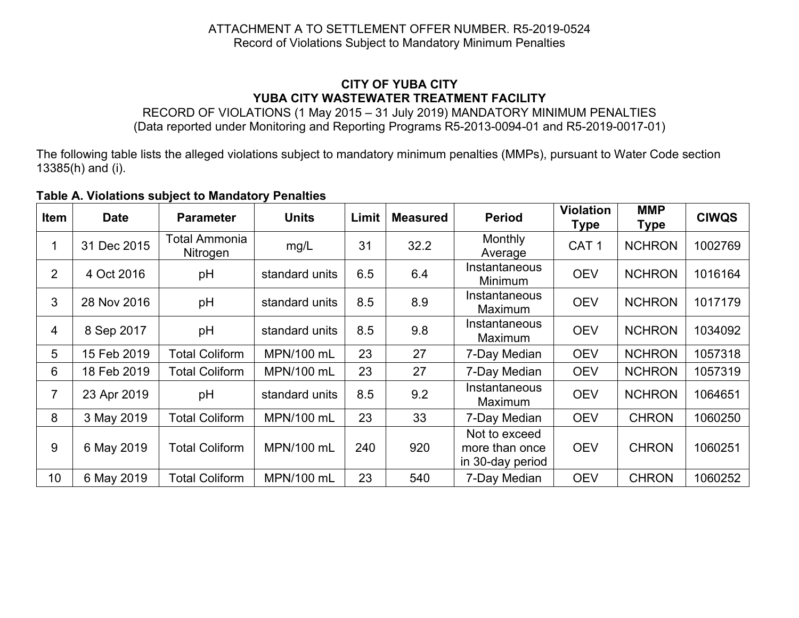## ATTACHMENT A TO SETTLEMENT OFFER NUMBER. R5-2019-0524 Record of Violations Subject to Mandatory Minimum Penalties

## **CITY OF YUBA CITY YUBA CITY WASTEWATER TREATMENT FACILITY**

RECORD OF VIOLATIONS (1 May 2015 – 31 July 2019) MANDATORY MINIMUM PENALTIES (Data reported under Monitoring and Reporting Programs R5-2013-0094-01 and R5-2019-0017-01)

The following table lists the alleged violations subject to mandatory minimum penalties (MMPs), pursuant to Water Code section 13385(h) and (i).

#### **Table A. Violations subject to Mandatory Penalties**

| Item            | <b>Date</b> | <b>Parameter</b>          | <b>Units</b>   | Limit | <b>Measured</b> | <b>Period</b>                                       | <b>Violation</b><br><b>Type</b> | <b>MMP</b><br><b>Type</b> | <b>CIWQS</b> |
|-----------------|-------------|---------------------------|----------------|-------|-----------------|-----------------------------------------------------|---------------------------------|---------------------------|--------------|
|                 | 31 Dec 2015 | Total Ammonia<br>Nitrogen | mg/L           | 31    | 32.2            | Monthly<br>Average                                  | CAT <sub>1</sub>                | <b>NCHRON</b>             | 1002769      |
| 2               | 4 Oct 2016  | pH                        | standard units | 6.5   | 6.4             | Instantaneous<br>Minimum                            | <b>OEV</b>                      | <b>NCHRON</b>             | 1016164      |
| 3               | 28 Nov 2016 | pH                        | standard units | 8.5   | 8.9             | Instantaneous<br><b>Maximum</b>                     | <b>OEV</b>                      | <b>NCHRON</b>             | 1017179      |
| 4               | 8 Sep 2017  | pH                        | standard units | 8.5   | 9.8             | Instantaneous<br>Maximum                            | <b>OEV</b>                      | <b>NCHRON</b>             | 1034092      |
| 5               | 15 Feb 2019 | <b>Total Coliform</b>     | MPN/100 mL     | 23    | 27              | 7-Day Median                                        | <b>OEV</b>                      | <b>NCHRON</b>             | 1057318      |
| 6               | 18 Feb 2019 | <b>Total Coliform</b>     | MPN/100 mL     | 23    | 27              | 7-Day Median                                        | <b>OEV</b>                      | <b>NCHRON</b>             | 1057319      |
|                 | 23 Apr 2019 | pH                        | standard units | 8.5   | 9.2             | Instantaneous<br>Maximum                            | <b>OEV</b>                      | <b>NCHRON</b>             | 1064651      |
| 8               | 3 May 2019  | <b>Total Coliform</b>     | MPN/100 mL     | 23    | 33              | 7-Day Median                                        | <b>OEV</b>                      | <b>CHRON</b>              | 1060250      |
| 9               | 6 May 2019  | <b>Total Coliform</b>     | MPN/100 mL     | 240   | 920             | Not to exceed<br>more than once<br>in 30-day period | <b>OEV</b>                      | <b>CHRON</b>              | 1060251      |
| 10 <sup>1</sup> | 6 May 2019  | <b>Total Coliform</b>     | MPN/100 mL     | 23    | 540             | 7-Day Median                                        | <b>OEV</b>                      | <b>CHRON</b>              | 1060252      |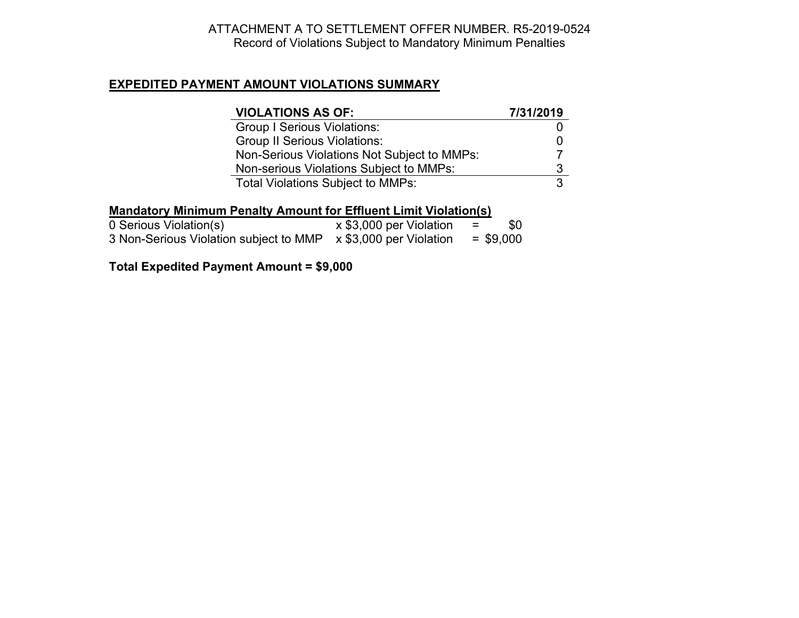## ATTACHMENT A TO SETTLEMENT OFFER NUMBER. R5-2019-0524 Record of Violations Subject to Mandatory Minimum Penalties

#### **EXPEDITED PAYMENT AMOUNT VIOLATIONS SUMMARY**

| <b>VIOLATIONS AS OF:</b>                    | 7/31/2019 |
|---------------------------------------------|-----------|
| <b>Group I Serious Violations:</b>          |           |
| <b>Group II Serious Violations:</b>         |           |
| Non-Serious Violations Not Subject to MMPs: |           |
| Non-serious Violations Subject to MMPs:     | 3         |
| <b>Total Violations Subject to MMPs:</b>    | 3         |

## **Mandatory Minimum Penalty Amount for Effluent Limit Violation(s)**

| 0 Serious Violation(s)                 | x \$3,000 per Violation        | $=$ | \$0         |
|----------------------------------------|--------------------------------|-----|-------------|
| 3 Non-Serious Violation subject to MMP | $\times$ \$3,000 per Violation |     | $=$ \$9,000 |

## **Total Expedited Payment Amount = \$9,000**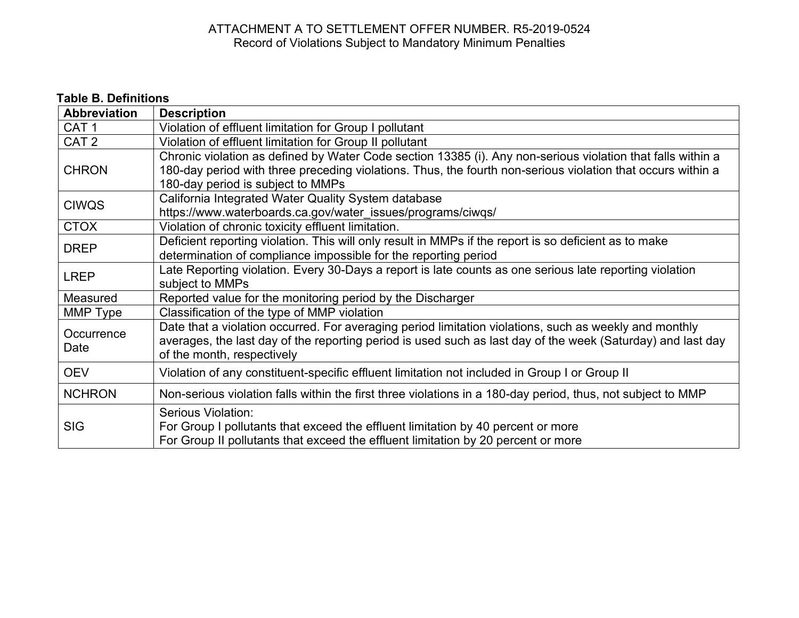## ATTACHMENT A TO SETTLEMENT OFFER NUMBER. R5-2019-0524 Record of Violations Subject to Mandatory Minimum Penalties

# **Table B. Definitions**

| <b>Abbreviation</b> | <b>Description</b>                                                                                                                                                                                                                                              |  |
|---------------------|-----------------------------------------------------------------------------------------------------------------------------------------------------------------------------------------------------------------------------------------------------------------|--|
| CAT <sub>1</sub>    | Violation of effluent limitation for Group I pollutant                                                                                                                                                                                                          |  |
| CAT <sub>2</sub>    | Violation of effluent limitation for Group II pollutant                                                                                                                                                                                                         |  |
| <b>CHRON</b>        | Chronic violation as defined by Water Code section 13385 (i). Any non-serious violation that falls within a<br>180-day period with three preceding violations. Thus, the fourth non-serious violation that occurs within a<br>180-day period is subject to MMPs |  |
| <b>CIWQS</b>        | California Integrated Water Quality System database<br>https://www.waterboards.ca.gov/water_issues/programs/ciwqs/                                                                                                                                              |  |
| <b>CTOX</b>         | Violation of chronic toxicity effluent limitation.                                                                                                                                                                                                              |  |
| <b>DREP</b>         | Deficient reporting violation. This will only result in MMPs if the report is so deficient as to make<br>determination of compliance impossible for the reporting period                                                                                        |  |
| <b>LREP</b>         | Late Reporting violation. Every 30-Days a report is late counts as one serious late reporting violation<br>subject to MMPs                                                                                                                                      |  |
| Measured            | Reported value for the monitoring period by the Discharger                                                                                                                                                                                                      |  |
| MMP Type            | Classification of the type of MMP violation                                                                                                                                                                                                                     |  |
| Occurrence<br>Date  | Date that a violation occurred. For averaging period limitation violations, such as weekly and monthly<br>averages, the last day of the reporting period is used such as last day of the week (Saturday) and last day<br>of the month, respectively             |  |
| <b>OEV</b>          | Violation of any constituent-specific effluent limitation not included in Group I or Group II                                                                                                                                                                   |  |
| <b>NCHRON</b>       | Non-serious violation falls within the first three violations in a 180-day period, thus, not subject to MMP                                                                                                                                                     |  |
| <b>SIG</b>          | Serious Violation:<br>For Group I pollutants that exceed the effluent limitation by 40 percent or more<br>For Group II pollutants that exceed the effluent limitation by 20 percent or more                                                                     |  |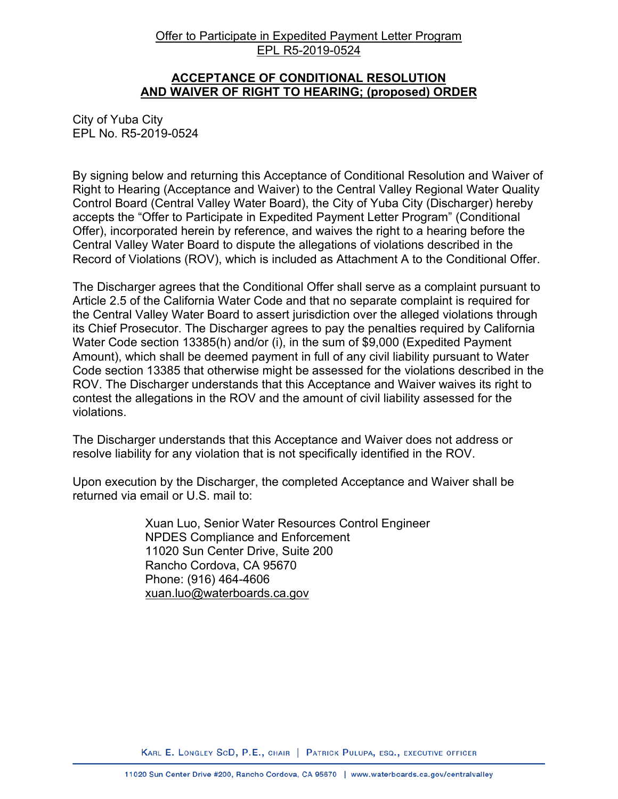#### Offer to Participate in Expedited Payment Letter Program EPL R5-2019-0524

#### **ACCEPTANCE OF CONDITIONAL RESOLUTION AND WAIVER OF RIGHT TO HEARING; (proposed) ORDER**

City of Yuba City EPL No. R5-2019-0524

By signing below and returning this Acceptance of Conditional Resolution and Waiver of Right to Hearing (Acceptance and Waiver) to the Central Valley Regional Water Quality Control Board (Central Valley Water Board), the City of Yuba City (Discharger) hereby accepts the "Offer to Participate in Expedited Payment Letter Program" (Conditional Offer), incorporated herein by reference, and waives the right to a hearing before the Central Valley Water Board to dispute the allegations of violations described in the Record of Violations (ROV), which is included as Attachment A to the Conditional Offer.

The Discharger agrees that the Conditional Offer shall serve as a complaint pursuant to Article 2.5 of the California Water Code and that no separate complaint is required for the Central Valley Water Board to assert jurisdiction over the alleged violations through its Chief Prosecutor. The Discharger agrees to pay the penalties required by California Water Code section 13385(h) and/or (i), in the sum of \$9,000 (Expedited Payment Amount), which shall be deemed payment in full of any civil liability pursuant to Water Code section 13385 that otherwise might be assessed for the violations described in the ROV. The Discharger understands that this Acceptance and Waiver waives its right to contest the allegations in the ROV and the amount of civil liability assessed for the violations.

The Discharger understands that this Acceptance and Waiver does not address or resolve liability for any violation that is not specifically identified in the ROV.

Upon execution by the Discharger, the completed Acceptance and Waiver shall be returned via email or U.S. mail to:

> Xuan Luo, Senior Water Resources Control Engineer NPDES Compliance and Enforcement 11020 Sun Center Drive, Suite 200 Rancho Cordova, CA 95670 Phone: (916) 464-4606 [xuan.luo@waterboards.ca.gov](mailto:Xuan.Luo@waterboards.ca.gov)

KARL E. LONGLEY SCD, P.E., CHAIR | PATRICK PULUPA, ESQ., EXECUTIVE OFFICER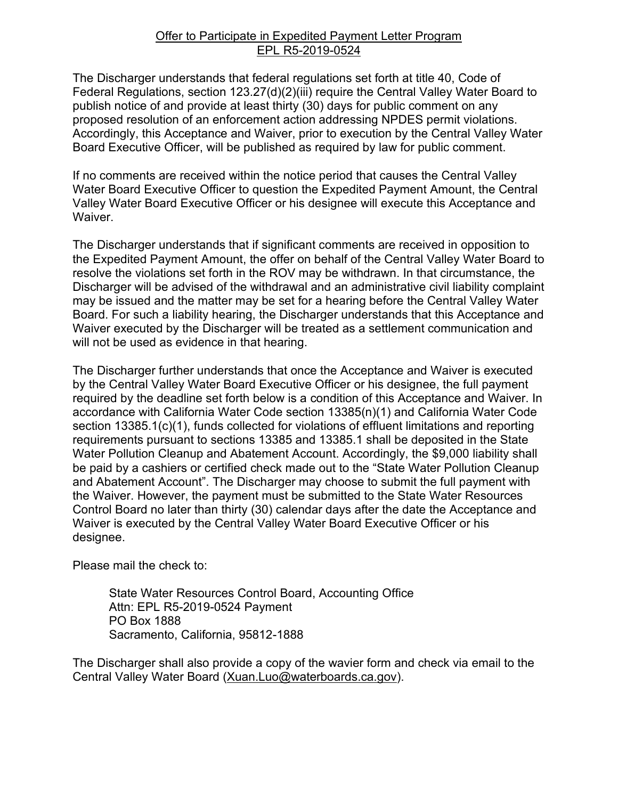#### Offer to Participate in Expedited Payment Letter Program EPL R5-2019-0524

The Discharger understands that federal regulations set forth at title 40, Code of Federal Regulations, section 123.27(d)(2)(iii) require the Central Valley Water Board to publish notice of and provide at least thirty (30) days for public comment on any proposed resolution of an enforcement action addressing NPDES permit violations. Accordingly, this Acceptance and Waiver, prior to execution by the Central Valley Water Board Executive Officer, will be published as required by law for public comment.

If no comments are received within the notice period that causes the Central Valley Water Board Executive Officer to question the Expedited Payment Amount, the Central Valley Water Board Executive Officer or his designee will execute this Acceptance and Waiver.

The Discharger understands that if significant comments are received in opposition to the Expedited Payment Amount, the offer on behalf of the Central Valley Water Board to resolve the violations set forth in the ROV may be withdrawn. In that circumstance, the Discharger will be advised of the withdrawal and an administrative civil liability complaint may be issued and the matter may be set for a hearing before the Central Valley Water Board. For such a liability hearing, the Discharger understands that this Acceptance and Waiver executed by the Discharger will be treated as a settlement communication and will not be used as evidence in that hearing.

The Discharger further understands that once the Acceptance and Waiver is executed by the Central Valley Water Board Executive Officer or his designee, the full payment required by the deadline set forth below is a condition of this Acceptance and Waiver. In accordance with California Water Code section 13385(n)(1) and California Water Code section 13385.1(c)(1), funds collected for violations of effluent limitations and reporting requirements pursuant to sections 13385 and 13385.1 shall be deposited in the State Water Pollution Cleanup and Abatement Account. Accordingly, the \$9,000 liability shall be paid by a cashiers or certified check made out to the "State Water Pollution Cleanup and Abatement Account". The Discharger may choose to submit the full payment with the Waiver. However, the payment must be submitted to the State Water Resources Control Board no later than thirty (30) calendar days after the date the Acceptance and Waiver is executed by the Central Valley Water Board Executive Officer or his designee.

Please mail the check to:

State Water Resources Control Board, Accounting Office Attn: EPL R5-2019-0524 Payment PO Box 1888 Sacramento, California, 95812-1888

The Discharger shall also provide a copy of the wavier form and check via email to the Central Valley Water Board ([Xuan.Luo@waterboards.ca.gov](mailto:Xuan.Luo@waterboards.ca.gov)).